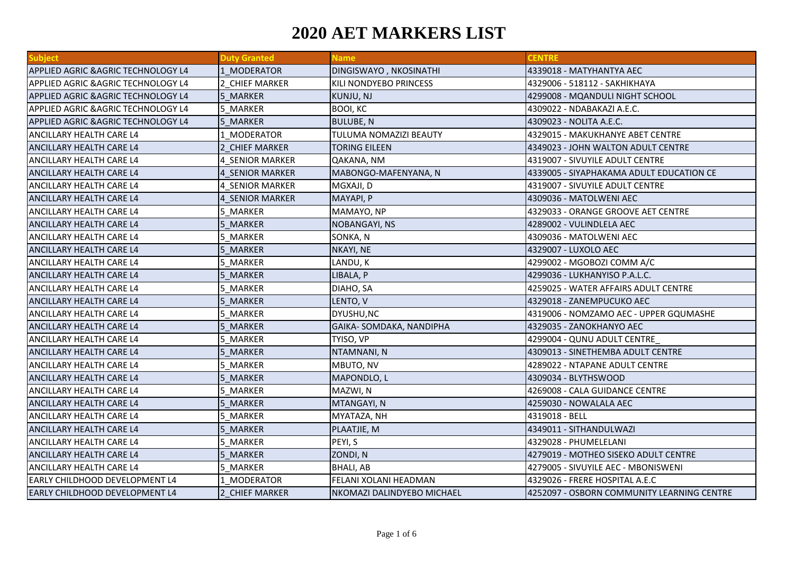| <b>Subject</b>                                 | <b>Duty Granted</b>    | <b>Name</b>                | <b>CENTRE</b>                              |
|------------------------------------------------|------------------------|----------------------------|--------------------------------------------|
| <b>APPLIED AGRIC &amp; AGRIC TECHNOLOGY L4</b> | 1 MODERATOR            | DINGISWAYO, NKOSINATHI     | 4339018 - MATYHANTYA AEC                   |
| APPLIED AGRIC & AGRIC TECHNOLOGY L4            | 2 CHIEF MARKER         | KILI NONDYEBO PRINCESS     | 4329006 - 518112 - SAKHIKHAYA              |
| APPLIED AGRIC & AGRIC TECHNOLOGY L4            | 5 MARKER               | KUNJU, NJ                  | 4299008 - MQANDULI NIGHT SCHOOL            |
| APPLIED AGRIC & AGRIC TECHNOLOGY L4            | 5 MARKER               | BOOI, KC                   | 4309022 - NDABAKAZI A.E.C.                 |
| <b>APPLIED AGRIC &amp; AGRIC TECHNOLOGY L4</b> | 5 MARKER               | <b>BULUBE, N</b>           | 4309023 - NOLITA A.E.C.                    |
| ANCILLARY HEALTH CARE L4                       | 1 MODERATOR            | TULUMA NOMAZIZI BEAUTY     | 4329015 - MAKUKHANYE ABET CENTRE           |
| ANCILLARY HEALTH CARE L4                       | 2 CHIEF MARKER         | TORING EILEEN              | 4349023 - JOHN WALTON ADULT CENTRE         |
| ANCILLARY HEALTH CARE L4                       | 4 SENIOR MARKER        | QAKANA, NM                 | 4319007 - SIVUYILE ADULT CENTRE            |
| <b>ANCILLARY HEALTH CARE L4</b>                | 4 SENIOR MARKER        | MABONGO-MAFENYANA, N       | 4339005 - SIYAPHAKAMA ADULT EDUCATION CE   |
| <b>ANCILLARY HEALTH CARE L4</b>                | <b>4 SENIOR MARKER</b> | MGXAJI, D                  | 4319007 - SIVUYILE ADULT CENTRE            |
| ANCILLARY HEALTH CARE L4                       | 4 SENIOR MARKER        | MAYAPI, P                  | 4309036 - MATOLWENI AEC                    |
| ANCILLARY HEALTH CARE L4                       | 5 MARKER               | MAMAYO, NP                 | 4329033 - ORANGE GROOVE AET CENTRE         |
| ANCILLARY HEALTH CARE L4                       | 5 MARKER               | NOBANGAYI, NS              | 4289002 - VULINDLELA AEC                   |
| ANCILLARY HEALTH CARE L4                       | 5 MARKER               | SONKA, N                   | 4309036 - MATOLWENI AEC                    |
| ANCILLARY HEALTH CARE L4                       | 5 MARKER               | NKAYI, NE                  | 4329007 - LUXOLO AEC                       |
| ANCILLARY HEALTH CARE L4                       | 5 MARKER               | LANDU, K                   | 4299002 - MGOBOZI COMM A/C                 |
| <b>ANCILLARY HEALTH CARE L4</b>                | 5 MARKER               | LIBALA, P                  | 4299036 - LUKHANYISO P.A.L.C.              |
| <b>ANCILLARY HEALTH CARE L4</b>                | 5 MARKER               | DIAHO, SA                  | 4259025 - WATER AFFAIRS ADULT CENTRE       |
| <b>ANCILLARY HEALTH CARE L4</b>                | 5 MARKER               | LENTO, V                   | 4329018 - ZANEMPUCUKO AEC                  |
| <b>ANCILLARY HEALTH CARE L4</b>                | 5 MARKER               | DYUSHU, NC                 | 4319006 - NOMZAMO AEC - UPPER GQUMASHE     |
| ANCILLARY HEALTH CARE L4                       | 5 MARKER               | GAIKA-SOMDAKA, NANDIPHA    | 4329035 - ZANOKHANYO AEC                   |
| ANCILLARY HEALTH CARE L4                       | 5 MARKER               | TYISO, VP                  | 4299004 - QUNU ADULT CENTRE                |
| ANCILLARY HEALTH CARE L4                       | 5 MARKER               | NTAMNANI, N                | 4309013 - SINETHEMBA ADULT CENTRE          |
| <b>ANCILLARY HEALTH CARE L4</b>                | 5 MARKER               | MBUTO, NV                  | 4289022 - NTAPANE ADULT CENTRE             |
| <b>ANCILLARY HEALTH CARE L4</b>                | 5 MARKER               | MAPONDLO, L                | 4309034 - BLYTHSWOOD                       |
| ANCILLARY HEALTH CARE L4                       | 5 MARKER               | MAZWI, N                   | 4269008 - CALA GUIDANCE CENTRE             |
| ANCILLARY HEALTH CARE L4                       | 5 MARKER               | MTANGAYI, N                | 4259030 - NOWALALA AEC                     |
| ANCILLARY HEALTH CARE L4                       | 5 MARKER               | MYATAZA, NH                | 4319018 - BELL                             |
| ANCILLARY HEALTH CARE L4                       | 5 MARKER               | PLAATJIE, M                | 4349011 - SITHANDULWAZI                    |
| ANCILLARY HEALTH CARE L4                       | 5 MARKER               | PEYI, S                    | 4329028 - PHUMELELANI                      |
| <b>ANCILLARY HEALTH CARE L4</b>                | 5 MARKER               | ZONDI, N                   | 4279019 - MOTHEO SISEKO ADULT CENTRE       |
| <b>ANCILLARY HEALTH CARE L4</b>                | 5 MARKER               | <b>BHALI, AB</b>           | 4279005 - SIVUYILE AEC - MBONISWENI        |
| <b>EARLY CHILDHOOD DEVELOPMENT L4</b>          | 1 MODERATOR            | FELANI XOLANI HEADMAN      | 4329026 - FRERE HOSPITAL A.E.C             |
| EARLY CHILDHOOD DEVELOPMENT L4                 | 2 CHIEF MARKER         | NKOMAZI DALINDYEBO MICHAEL | 4252097 - OSBORN COMMUNITY LEARNING CENTRE |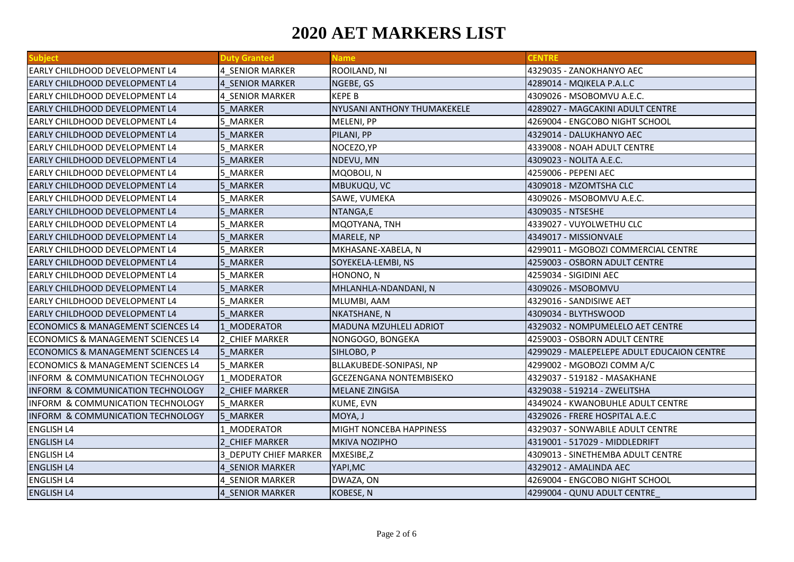| <b>Subject</b>                                | <b>Duty Granted</b>   | <b>Name</b>                    | <b>CENTRE</b>                              |
|-----------------------------------------------|-----------------------|--------------------------------|--------------------------------------------|
| <b>EARLY CHILDHOOD DEVELOPMENT L4</b>         | 4 SENIOR MARKER       | ROOILAND, NI                   | 4329035 - ZANOKHANYO AEC                   |
| <b>EARLY CHILDHOOD DEVELOPMENT L4</b>         | 4 SENIOR MARKER       | NGEBE, GS                      | 4289014 - MQIKELA P.A.L.C                  |
| <b>EARLY CHILDHOOD DEVELOPMENT L4</b>         | 4 SENIOR MARKER       | <b>KEPE B</b>                  | 4309026 - MSOBOMVU A.E.C.                  |
| <b>EARLY CHILDHOOD DEVELOPMENT L4</b>         | 5 MARKER              | NYUSANI ANTHONY THUMAKEKELE    | 4289027 - MAGCAKINI ADULT CENTRE           |
| <b>EARLY CHILDHOOD DEVELOPMENT L4</b>         | 5 MARKER              | MELENI, PP                     | 4269004 - ENGCOBO NIGHT SCHOOL             |
| <b>EARLY CHILDHOOD DEVELOPMENT L4</b>         | 5 MARKER              | PILANI, PP                     | 4329014 - DALUKHANYO AEC                   |
| <b>EARLY CHILDHOOD DEVELOPMENT L4</b>         | 5 MARKER              | NOCEZO, YP                     | 4339008 - NOAH ADULT CENTRE                |
| <b>EARLY CHILDHOOD DEVELOPMENT L4</b>         | 5 MARKER              | NDEVU, MN                      | 4309023 - NOLITA A.E.C.                    |
| <b>EARLY CHILDHOOD DEVELOPMENT L4</b>         | 5 MARKER              | MQOBOLI, N                     | 4259006 - PEPENI AEC                       |
| <b>EARLY CHILDHOOD DEVELOPMENT L4</b>         | 5 MARKER              | MBUKUQU, VC                    | 4309018 - MZOMTSHA CLC                     |
| <b>EARLY CHILDHOOD DEVELOPMENT L4</b>         | 5 MARKER              | SAWE, VUMEKA                   | 4309026 - MSOBOMVU A.E.C.                  |
| <b>EARLY CHILDHOOD DEVELOPMENT L4</b>         | 5 MARKER              | NTANGA,E                       | 4309035 - NTSESHE                          |
| <b>EARLY CHILDHOOD DEVELOPMENT L4</b>         | 5 MARKER              | MQOTYANA, TNH                  | 4339027 - VUYOLWETHU CLC                   |
| <b>EARLY CHILDHOOD DEVELOPMENT L4</b>         | 5 MARKER              | MARELE, NP                     | 4349017 - MISSIONVALE                      |
| EARLY CHILDHOOD DEVELOPMENT L4                | 5 MARKER              | MKHASANE-XABELA, N             | 4299011 - MGOBOZI COMMERCIAL CENTRE        |
| <b>EARLY CHILDHOOD DEVELOPMENT L4</b>         | 5 MARKER              | SOYEKELA-LEMBI, NS             | 4259003 - OSBORN ADULT CENTRE              |
| <b>EARLY CHILDHOOD DEVELOPMENT L4</b>         | 5 MARKER              | HONONO, N                      | 4259034 - SIGIDINI AEC                     |
| <b>EARLY CHILDHOOD DEVELOPMENT L4</b>         | 5 MARKER              | MHLANHLA-NDANDANI, N           | 4309026 - MSOBOMVU                         |
| <b>EARLY CHILDHOOD DEVELOPMENT L4</b>         | 5 MARKER              | MLUMBI, AAM                    | 4329016 - SANDISIWE AET                    |
| <b>EARLY CHILDHOOD DEVELOPMENT L4</b>         | 5 MARKER              | NKATSHANE, N                   | 4309034 - BLYTHSWOOD                       |
| ECONOMICS & MANAGEMENT SCIENCES L4            | 1 MODERATOR           | MADUNA MZUHLELI ADRIOT         | 4329032 - NOMPUMELELO AET CENTRE           |
| ECONOMICS & MANAGEMENT SCIENCES L4            | 2 CHIEF MARKER        | NONGOGO, BONGEKA               | 4259003 - OSBORN ADULT CENTRE              |
| ECONOMICS & MANAGEMENT SCIENCES L4            | 5 MARKER              | SIHLOBO, P                     | 4299029 - MALEPELEPE ADULT EDUCAION CENTRE |
| <b>ECONOMICS &amp; MANAGEMENT SCIENCES L4</b> | 5 MARKER              | BLLAKUBEDE-SONIPASI, NP        | 4299002 - MGOBOZI COMM A/C                 |
| <b>INFORM &amp; COMMUNICATION TECHNOLOGY</b>  | 1 MODERATOR           | <b>GCEZENGANA NONTEMBISEKO</b> | 4329037 - 519182 - MASAKHANE               |
| <b>INFORM &amp; COMMUNICATION TECHNOLOGY</b>  | 2 CHIEF MARKER        | <b>MELANE ZINGISA</b>          | 4329038 - 519214 - ZWELITSHA               |
| INFORM & COMMUNICATION TECHNOLOGY             | 5 MARKER              | <b>KUME, EVN</b>               | 4349024 - KWANOBUHLE ADULT CENTRE          |
| INFORM & COMMUNICATION TECHNOLOGY             | 5 MARKER              | MOYA, J                        | 4329026 - FRERE HOSPITAL A.E.C             |
| <b>ENGLISH L4</b>                             | 1 MODERATOR           | MIGHT NONCEBA HAPPINESS        | 4329037 - SONWABILE ADULT CENTRE           |
| <b>ENGLISH L4</b>                             | 2 CHIEF MARKER        | <b>MKIVA NOZIPHO</b>           | 4319001 - 517029 - MIDDLEDRIFT             |
| <b>ENGLISH L4</b>                             | 3 DEPUTY CHIEF MARKER | MXESIBE,Z                      | 4309013 - SINETHEMBA ADULT CENTRE          |
| <b>ENGLISH L4</b>                             | 4 SENIOR MARKER       | YAPI, MC                       | 4329012 - AMALINDA AEC                     |
| <b>ENGLISH L4</b>                             | 4 SENIOR MARKER       | DWAZA, ON                      | 4269004 - ENGCOBO NIGHT SCHOOL             |
| <b>ENGLISH L4</b>                             | 4 SENIOR MARKER       | <b>KOBESE, N</b>               | 4299004 - QUNU ADULT CENTRE                |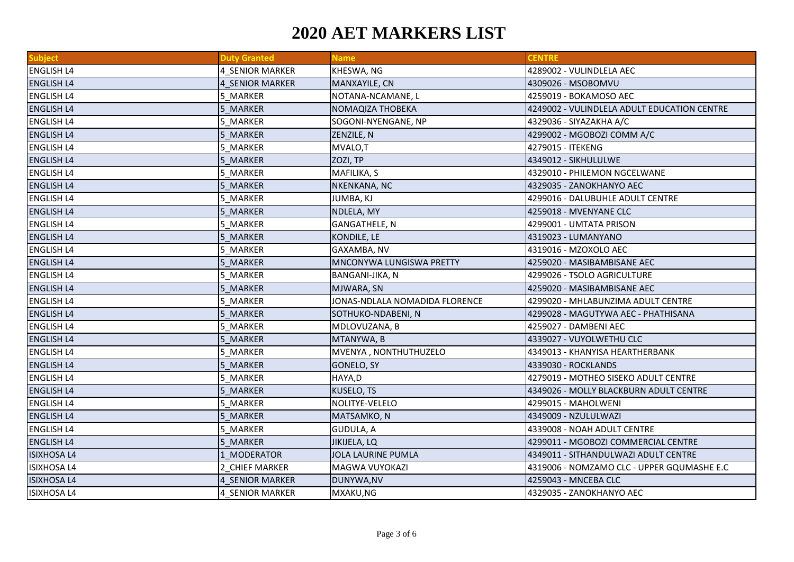| <b>Subject</b>     | <b>Duty Granted</b> | <b>Name</b>                    | <b>CENTRE</b>                               |
|--------------------|---------------------|--------------------------------|---------------------------------------------|
| <b>ENGLISH L4</b>  | 4 SENIOR MARKER     | KHESWA, NG                     | 4289002 - VULINDLELA AEC                    |
| <b>ENGLISH L4</b>  | 4 SENIOR MARKER     | MANXAYILE, CN                  | 4309026 - MSOBOMVU                          |
| <b>ENGLISH L4</b>  | 5 MARKER            | NOTANA-NCAMANE, L              | 4259019 - BOKAMOSO AEC                      |
| <b>ENGLISH L4</b>  | 5 MARKER            | NOMAQIZA THOBEKA               | 4249002 - VULINDLELA ADULT EDUCATION CENTRE |
| <b>ENGLISH L4</b>  | 5 MARKER            | SOGONI-NYENGANE, NP            | 4329036 - SIYAZAKHA A/C                     |
| <b>ENGLISH L4</b>  | 5 MARKER            | ZENZILE, N                     | 4299002 - MGOBOZI COMM A/C                  |
| <b>ENGLISH L4</b>  | 5 MARKER            | MVALO,T                        | 4279015 - ITEKENG                           |
| <b>ENGLISH L4</b>  | 5 MARKER            | ZOZI, TP                       | 4349012 - SIKHULULWE                        |
| <b>ENGLISH L4</b>  | 5 MARKER            | MAFILIKA, S                    | 4329010 - PHILEMON NGCELWANE                |
| <b>ENGLISH L4</b>  | 5 MARKER            | NKENKANA, NC                   | 4329035 - ZANOKHANYO AEC                    |
| <b>ENGLISH L4</b>  | 5 MARKER            | JUMBA, KJ                      | 4299016 - DALUBUHLE ADULT CENTRE            |
| <b>ENGLISH L4</b>  | 5 MARKER            | NDLELA, MY                     | 4259018 - MVENYANE CLC                      |
| <b>ENGLISH L4</b>  | 5 MARKER            | <b>GANGATHELE, N</b>           | 4299001 - UMTATA PRISON                     |
| <b>ENGLISH L4</b>  | 5 MARKER            | KONDILE, LE                    | 4319023 - LUMANYANO                         |
| <b>ENGLISH L4</b>  | 5 MARKER            | GAXAMBA, NV                    | 4319016 - MZOXOLO AEC                       |
| <b>ENGLISH L4</b>  | 5 MARKER            | MNCONYWA LUNGISWA PRETTY       | 4259020 - MASIBAMBISANE AEC                 |
| <b>ENGLISH L4</b>  | 5 MARKER            | BANGANI-JIKA, N                | 4299026 - TSOLO AGRICULTURE                 |
| <b>ENGLISH L4</b>  | 5 MARKER            | MJWARA, SN                     | 4259020 - MASIBAMBISANE AEC                 |
| <b>ENGLISH L4</b>  | 5 MARKER            | JONAS-NDLALA NOMADIDA FLORENCE | 4299020 - MHLABUNZIMA ADULT CENTRE          |
| <b>ENGLISH L4</b>  | 5 MARKER            | SOTHUKO-NDABENI, N             | 4299028 - MAGUTYWA AEC - PHATHISANA         |
| <b>ENGLISH L4</b>  | 5 MARKER            | MDLOVUZANA, B                  | 4259027 - DAMBENI AEC                       |
| <b>ENGLISH L4</b>  | 5 MARKER            | MTANYWA, B                     | 4339027 - VUYOLWETHU CLC                    |
| <b>ENGLISH L4</b>  | 5 MARKER            | MVENYA, NONTHUTHUZELO          | 4349013 - KHANYISA HEARTHERBANK             |
| <b>ENGLISH L4</b>  | 5 MARKER            | GONELO, SY                     | 4339030 - ROCKLANDS                         |
| <b>ENGLISH L4</b>  | 5 MARKER            | HAYA,D                         | 4279019 - MOTHEO SISEKO ADULT CENTRE        |
| <b>ENGLISH L4</b>  | 5 MARKER            | KUSELO, TS                     | 4349026 - MOLLY BLACKBURN ADULT CENTRE      |
| <b>ENGLISH L4</b>  | 5 MARKER            | NOLITYE-VELELO                 | 4299015 - MAHOLWENI                         |
| <b>ENGLISH L4</b>  | 5 MARKER            | MATSAMKO, N                    | 4349009 - NZULULWAZI                        |
| <b>ENGLISH L4</b>  | 5 MARKER            | GUDULA, A                      | 4339008 - NOAH ADULT CENTRE                 |
| <b>ENGLISH L4</b>  | 5 MARKER            | JIKIJELA, LQ                   | 4299011 - MGOBOZI COMMERCIAL CENTRE         |
| <b>ISIXHOSA L4</b> | 1 MODERATOR         | <b>JOLA LAURINE PUMLA</b>      | 4349011 - SITHANDULWAZI ADULT CENTRE        |
| <b>ISIXHOSA L4</b> | 2 CHIEF MARKER      | MAGWA VUYOKAZI                 | 4319006 - NOMZAMO CLC - UPPER GQUMASHE E.C  |
| <b>ISIXHOSA L4</b> | 4 SENIOR MARKER     | DUNYWA, NV                     | 4259043 - MNCEBA CLC                        |
| <b>ISIXHOSA L4</b> | 4 SENIOR MARKER     | MXAKU,NG                       | 4329035 - ZANOKHANYO AEC                    |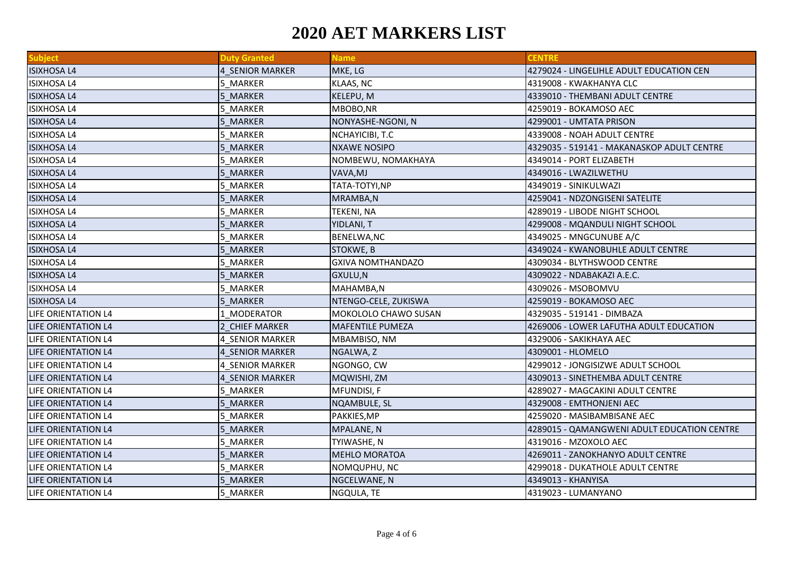| <b>Subject</b>      | <b>Duty Granted</b>    | <b>Name</b>              | <b>CENTRE</b>                               |
|---------------------|------------------------|--------------------------|---------------------------------------------|
| <b>ISIXHOSA L4</b>  | 4 SENIOR MARKER        | MKE, LG                  | 4279024 - LINGELIHLE ADULT EDUCATION CEN    |
| <b>ISIXHOSA L4</b>  | 5 MARKER               | KLAAS, NC                | 4319008 - KWAKHANYA CLC                     |
| <b>ISIXHOSA L4</b>  | 5 MARKER               | KELEPU, M                | 4339010 - THEMBANI ADULT CENTRE             |
| <b>ISIXHOSA L4</b>  | 5 MARKER               | MBOBO, NR                | 4259019 - BOKAMOSO AEC                      |
| <b>ISIXHOSA L4</b>  | 5 MARKER               | NONYASHE-NGONI, N        | 4299001 - UMTATA PRISON                     |
| <b>ISIXHOSA L4</b>  | 5 MARKER               | NCHAYICIBI, T.C          | 4339008 - NOAH ADULT CENTRE                 |
| <b>ISIXHOSA L4</b>  | 5 MARKER               | <b>NXAWE NOSIPO</b>      | 4329035 - 519141 - MAKANASKOP ADULT CENTRE  |
| <b>ISIXHOSA L4</b>  | 5 MARKER               | NOMBEWU, NOMAKHAYA       | 4349014 - PORT ELIZABETH                    |
| <b>ISIXHOSA L4</b>  | 5 MARKER               | VAVA, MJ                 | 4349016 - LWAZILWETHU                       |
| <b>ISIXHOSA L4</b>  | 5 MARKER               | TATA-TOTYI,NP            | 4349019 - SINIKULWAZI                       |
| <b>ISIXHOSA L4</b>  | 5 MARKER               | MRAMBA,N                 | 4259041 - NDZONGISENI SATELITE              |
| <b>ISIXHOSA L4</b>  | 5 MARKER               | <b>TEKENI, NA</b>        | 4289019 - LIBODE NIGHT SCHOOL               |
| <b>ISIXHOSA L4</b>  | 5 MARKER               | YIDLANI, T               | 4299008 - MQANDULI NIGHT SCHOOL             |
| <b>ISIXHOSA L4</b>  | 5 MARKER               | BENELWA, NC              | 4349025 - MNGCUNUBE A/C                     |
| <b>ISIXHOSA L4</b>  | 5 MARKER               | STOKWE, B                | 4349024 - KWANOBUHLE ADULT CENTRE           |
| <b>ISIXHOSA L4</b>  | 5 MARKER               | <b>GXIVA NOMTHANDAZO</b> | 4309034 - BLYTHSWOOD CENTRE                 |
| <b>ISIXHOSA L4</b>  | 5 MARKER               | GXULU, N                 | 4309022 - NDABAKAZI A.E.C.                  |
| <b>ISIXHOSA L4</b>  | 5 MARKER               | MAHAMBA,N                | 4309026 - MSOBOMVU                          |
| <b>ISIXHOSA L4</b>  | 5 MARKER               | NTENGO-CELE, ZUKISWA     | 4259019 - BOKAMOSO AEC                      |
| LIFE ORIENTATION L4 | 1 MODERATOR            | MOKOLOLO CHAWO SUSAN     | 4329035 - 519141 - DIMBAZA                  |
| LIFE ORIENTATION L4 | 2 CHIEF MARKER         | <b>MAFENTILE PUMEZA</b>  | 4269006 - LOWER LAFUTHA ADULT EDUCATION     |
| LIFE ORIENTATION L4 | 4 SENIOR MARKER        | MBAMBISO, NM             | 4329006 - SAKIKHAYA AEC                     |
| LIFE ORIENTATION L4 | 4 SENIOR MARKER        | NGALWA, Z                | 4309001 - HLOMELO                           |
| LIFE ORIENTATION L4 | 4 SENIOR MARKER        | NGONGO, CW               | 4299012 - JONGISIZWE ADULT SCHOOL           |
| LIFE ORIENTATION L4 | <b>4 SENIOR MARKER</b> | MQWISHI, ZM              | 4309013 - SINETHEMBA ADULT CENTRE           |
| LIFE ORIENTATION L4 | 5 MARKER               | MFUNDISI, F              | 4289027 - MAGCAKINI ADULT CENTRE            |
| LIFE ORIENTATION L4 | 5 MARKER               | NQAMBULE, SL             | 4329008 - EMTHONJENI AEC                    |
| LIFE ORIENTATION L4 | 5 MARKER               | PAKKIES, MP              | 4259020 - MASIBAMBISANE AEC                 |
| LIFE ORIENTATION L4 | 5_MARKER               | MPALANE, N               | 4289015 - QAMANGWENI ADULT EDUCATION CENTRE |
| LIFE ORIENTATION L4 | 5 MARKER               | TYIWASHE, N              | 4319016 - MZOXOLO AEC                       |
| LIFE ORIENTATION L4 | 5 MARKER               | <b>MEHLO MORATOA</b>     | 4269011 - ZANOKHANYO ADULT CENTRE           |
| LIFE ORIENTATION L4 | 5 MARKER               | NOMQUPHU, NC             | 4299018 - DUKATHOLE ADULT CENTRE            |
| LIFE ORIENTATION L4 | 5 MARKER               | NGCELWANE, N             | 4349013 - KHANYISA                          |
| LIFE ORIENTATION L4 | 5 MARKER               | NGQULA, TE               | 4319023 - LUMANYANO                         |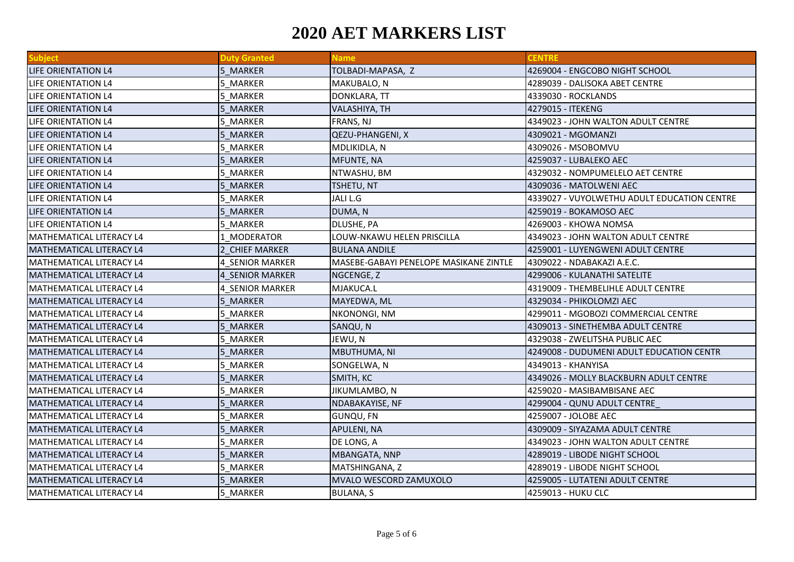| <b>Subject</b>                  | <b>Duty Granted</b>    | <b>Name</b>                            | <b>CENTRE</b>                               |
|---------------------------------|------------------------|----------------------------------------|---------------------------------------------|
| LIFE ORIENTATION L4             | 5 MARKER               | TOLBADI-MAPASA, Z                      | 4269004 - ENGCOBO NIGHT SCHOOL              |
| LIFE ORIENTATION L4             | 5_MARKER               | MAKUBALO, N                            | 4289039 - DALISOKA ABET CENTRE              |
| LIFE ORIENTATION L4             | 5 MARKER               | DONKLARA, TT                           | 4339030 - ROCKLANDS                         |
| LIFE ORIENTATION L4             | 5 MARKER               | VALASHIYA, TH                          | 4279015 - ITEKENG                           |
| LIFE ORIENTATION L4             | 5 MARKER               | FRANS, NJ                              | 4349023 - JOHN WALTON ADULT CENTRE          |
| LIFE ORIENTATION L4             | 5 MARKER               | QEZU-PHANGENI, X                       | 4309021 - MGOMANZI                          |
| LIFE ORIENTATION L4             | 5 MARKER               | MDLIKIDLA, N                           | 4309026 - MSOBOMVU                          |
| LIFE ORIENTATION L4             | 5 MARKER               | <b>MFUNTE, NA</b>                      | 4259037 - LUBALEKO AEC                      |
| LIFE ORIENTATION L4             | 5 MARKER               | NTWASHU, BM                            | 4329032 - NOMPUMELELO AET CENTRE            |
| LIFE ORIENTATION L4             | 5 MARKER               | TSHETU, NT                             | 4309036 - MATOLWENI AEC                     |
| LIFE ORIENTATION L4             | 5 MARKER               | JALI L.G                               | 4339027 - VUYOLWETHU ADULT EDUCATION CENTRE |
| LIFE ORIENTATION L4             | 5 MARKER               | DUMA, N                                | 4259019 - BOKAMOSO AEC                      |
| LIFE ORIENTATION L4             | 5 MARKER               | <b>DLUSHE, PA</b>                      | 4269003 - KHOWA NOMSA                       |
| MATHEMATICAL LITERACY L4        | 1 MODERATOR            | LOUW-NKAWU HELEN PRISCILLA             | 4349023 - JOHN WALTON ADULT CENTRE          |
| MATHEMATICAL LITERACY L4        | <b>CHIEF MARKER</b>    | <b>BULANA ANDILE</b>                   | 4259001 - LUYENGWENI ADULT CENTRE           |
| MATHEMATICAL LITERACY L4        | 4 SENIOR MARKER        | MASEBE-GABAYI PENELOPE MASIKANE ZINTLE | 4309022 - NDABAKAZI A.E.C.                  |
| MATHEMATICAL LITERACY L4        | <b>4 SENIOR MARKER</b> | NGCENGE, Z                             | 4299006 - KULANATHI SATELITE                |
| MATHEMATICAL LITERACY L4        | 4 SENIOR MARKER        | MJAKUCA.L                              | 4319009 - THEMBELIHLE ADULT CENTRE          |
| MATHEMATICAL LITERACY L4        | 5 MARKER               | MAYEDWA, ML                            | 4329034 - PHIKOLOMZI AEC                    |
| MATHEMATICAL LITERACY L4        | 5 MARKER               | NKONONGI, NM                           | 4299011 - MGOBOZI COMMERCIAL CENTRE         |
| <b>MATHEMATICAL LITERACY L4</b> | 5 MARKER               | SANQU, N                               | 4309013 - SINETHEMBA ADULT CENTRE           |
| MATHEMATICAL LITERACY L4        | 5 MARKER               | JEWU, N                                | 4329038 - ZWELITSHA PUBLIC AEC              |
| MATHEMATICAL LITERACY L4        | 5 MARKER               | MBUTHUMA, NI                           | 4249008 - DUDUMENI ADULT EDUCATION CENTR    |
| MATHEMATICAL LITERACY L4        | 5 MARKER               | SONGELWA, N                            | 4349013 - KHANYISA                          |
| MATHEMATICAL LITERACY L4        | 5 MARKER               | SMITH, KC                              | 4349026 - MOLLY BLACKBURN ADULT CENTRE      |
| MATHEMATICAL LITERACY L4        | 5 MARKER               | JIKUMLAMBO, N                          | 4259020 - MASIBAMBISANE AEC                 |
| MATHEMATICAL LITERACY L4        | 5 MARKER               | NDABAKAYISE, NF                        | 4299004 - QUNU ADULT CENTRE                 |
| MATHEMATICAL LITERACY L4        | 5 MARKER               | <b>GUNQU, FN</b>                       | 4259007 - JOLOBE AEC                        |
| MATHEMATICAL LITERACY L4        | 5 MARKER               | <b>APULENI, NA</b>                     | 4309009 - SIYAZAMA ADULT CENTRE             |
| MATHEMATICAL LITERACY L4        | 5 MARKER               | DE LONG, A                             | 4349023 - JOHN WALTON ADULT CENTRE          |
| MATHEMATICAL LITERACY L4        | 5 MARKER               | <b>MBANGATA, NNP</b>                   | 4289019 - LIBODE NIGHT SCHOOL               |
| MATHEMATICAL LITERACY L4        | 5 MARKER               | MATSHINGANA, Z                         | 4289019 - LIBODE NIGHT SCHOOL               |
| MATHEMATICAL LITERACY L4        | 5 MARKER               | MVALO WESCORD ZAMUXOLO                 | 4259005 - LUTATENI ADULT CENTRE             |
| MATHEMATICAL LITERACY L4        | 5 MARKER               | <b>BULANA, S</b>                       | 4259013 - HUKU CLC                          |